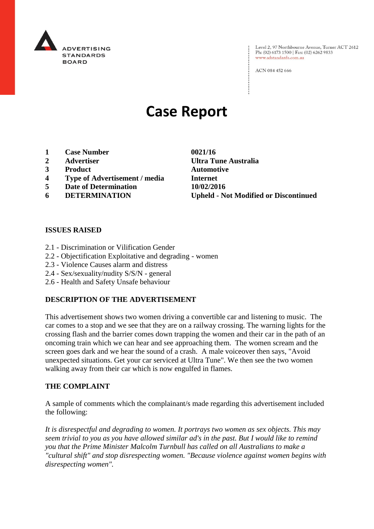

Level 2, 97 Northbourne Avenue, Turner ACT 2612 Ph: (02) 6173 1500 | Fax: (02) 6262 9833 www.adstandards.com.au

ACN 084 452 666

# **Case Report**

- **1 Case Number 0021/16**
- 
- **3 Product Automotive**
- **4 Type of Advertisement / media Internet**
- **5 Date of Determination 10/02/2016**
- 

**2 Advertiser Ultra Tune Australia 6 DETERMINATION Upheld - Not Modified or Discontinued**

### **ISSUES RAISED**

- 2.1 Discrimination or Vilification Gender
- 2.2 Objectification Exploitative and degrading women
- 2.3 Violence Causes alarm and distress
- 2.4 Sex/sexuality/nudity S/S/N general
- 2.6 Health and Safety Unsafe behaviour

## **DESCRIPTION OF THE ADVERTISEMENT**

This advertisement shows two women driving a convertible car and listening to music. The car comes to a stop and we see that they are on a railway crossing. The warning lights for the crossing flash and the barrier comes down trapping the women and their car in the path of an oncoming train which we can hear and see approaching them. The women scream and the screen goes dark and we hear the sound of a crash. A male voiceover then says, "Avoid unexpected situations. Get your car serviced at Ultra Tune". We then see the two women walking away from their car which is now engulfed in flames.

#### **THE COMPLAINT**

A sample of comments which the complainant/s made regarding this advertisement included the following:

*It is disrespectful and degrading to women. It portrays two women as sex objects. This may seem trivial to you as you have allowed similar ad's in the past. But I would like to remind you that the Prime Minister Malcolm Turnbull has called on all Australians to make a "cultural shift" and stop disrespecting women. "Because violence against women begins with disrespecting women".*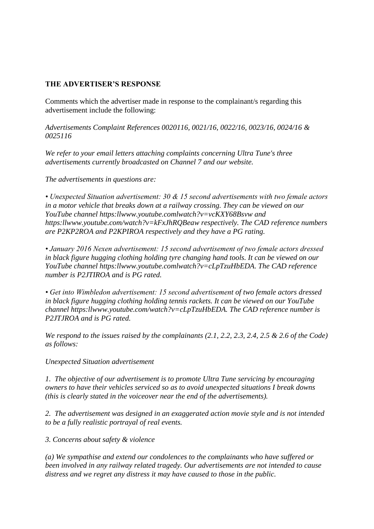## **THE ADVERTISER'S RESPONSE**

Comments which the advertiser made in response to the complainant/s regarding this advertisement include the following:

*Advertisements Complaint References 0020116, 0021/16, 0022/16, 0023/16, 0024/16 & 0025116*

*We refer to your email letters attaching complaints concerning Ultra Tune's three advertisements currently broadcasted on Channel 7 and our website.*

*The advertisements in questions are:*

*• Unexpected Situation advertisement: 30 & 15 second advertisements with two female actors in a motor vehicle that breaks down at a railway crossing. They can be viewed on our YouTube channel https:llwww.youtube.comlwatch?v=vcKXY68Bsvw and https:llwww.youtube.com/watch?v=kFxJhRQBeaw respectively. The CAD reference numbers are P2KP2ROA and P2KPIROA respectively and they have a PG rating.*

*• January 2016 Nexen advertisement: 15 second advertisement of two female actors dressed in black figure hugging clothing holding tyre changing hand tools. It can be viewed on our YouTube channel https:llwww.youtube.comlwatch?v=cLpTzuHbEDA. The CAD reference number is P2JTIROA and is PG rated.*

*• Get into Wimbledon advertisement: 15 second advertisement of two female actors dressed in black figure hugging clothing holding tennis rackets. It can be viewed on our YouTube channel https:llwww.youtube.com/watch?v=cLpTzuHbEDA. The CAD reference number is P2JTJROA and is PG rated.*

*We respond to the issues raised by the complainants (2.1, 2.2, 2.3, 2.4, 2.5 & 2.6 of the Code) as follows:*

*Unexpected Situation advertisement*

*1. The objective of our advertisement is to promote Ultra Tune servicing by encouraging owners to have their vehicles serviced so as to avoid unexpected situations I break downs (this is clearly stated in the voiceover near the end of the advertisements).*

*2. The advertisement was designed in an exaggerated action movie style and is not intended to be a fully realistic portrayal of real events.*

*3. Concerns about safety & violence*

*(a) We sympathise and extend our condolences to the complainants who have suffered or been involved in any railway related tragedy. Our advertisements are not intended to cause distress and we regret any distress it may have caused to those in the public.*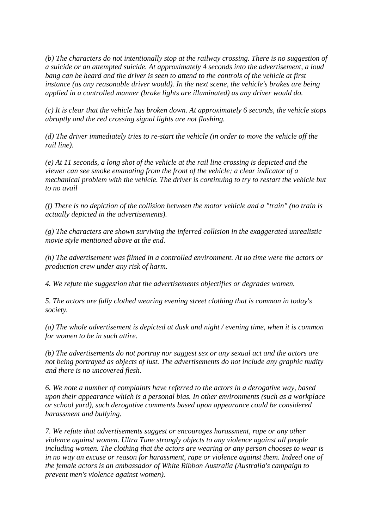*(b) The characters do not intentionally stop at the railway crossing. There is no suggestion of a suicide or an attempted suicide. At approximately 4 seconds into the advertisement, a loud bang can be heard and the driver is seen to attend to the controls of the vehicle at first instance (as any reasonable driver would). In the next scene, the vehicle's brakes are being applied in a controlled manner (brake lights are illuminated) as any driver would do.*

*(c) It is clear that the vehicle has broken down. At approximately 6 seconds, the vehicle stops abruptly and the red crossing signal lights are not flashing.*

*(d) The driver immediately tries to re-start the vehicle (in order to move the vehicle off the rail line).*

*(e) At 11 seconds, a long shot of the vehicle at the rail line crossing is depicted and the viewer can see smoke emanating from the front of the vehicle; a clear indicator of a mechanical problem with the vehicle. The driver is continuing to try to restart the vehicle but to no avail*

*(f) There is no depiction of the collision between the motor vehicle and a "train" (no train is actually depicted in the advertisements).*

*(g) The characters are shown surviving the inferred collision in the exaggerated unrealistic movie style mentioned above at the end.*

*(h) The advertisement was filmed in a controlled environment. At no time were the actors or production crew under any risk of harm.*

*4. We refute the suggestion that the advertisements objectifies or degrades women.*

*5. The actors are fully clothed wearing evening street clothing that is common in today's society.*

*(a) The whole advertisement is depicted at dusk and night / evening time, when it is common for women to be in such attire.*

*(b) The advertisements do not portray nor suggest sex or any sexual act and the actors are not being portrayed as objects of lust. The advertisements do not include any graphic nudity and there is no uncovered flesh.*

*6. We note a number of complaints have referred to the actors in a derogative way, based upon their appearance which is a personal bias. In other environments (such as a workplace or school yard), such derogative comments based upon appearance could be considered harassment and bullying.*

*7. We refute that advertisements suggest or encourages harassment, rape or any other violence against women. Ultra Tune strongly objects to any violence against all people including women. The clothing that the actors are wearing or any person chooses to wear is in no way an excuse or reason for harassment, rape or violence against them. Indeed one of the female actors is an ambassador of White Ribbon Australia (Australia's campaign to prevent men's violence against women).*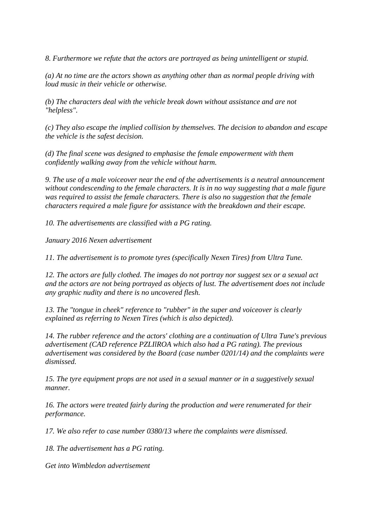*8. Furthermore we refute that the actors are portrayed as being unintelligent or stupid.*

*(a) At no time are the actors shown as anything other than as normal people driving with loud music in their vehicle or otherwise.*

*(b) The characters deal with the vehicle break down without assistance and are not "helpless".*

*(c) They also escape the implied collision by themselves. The decision to abandon and escape the vehicle is the safest decision.*

*(d) The final scene was designed to emphasise the female empowerment with them confidently walking away from the vehicle without harm.*

*9. The use of a male voiceover near the end of the advertisements is a neutral announcement without condescending to the female characters. It is in no way suggesting that a male figure was required to assist the female characters. There is also no suggestion that the female characters required a male figure for assistance with the breakdown and their escape.*

*10. The advertisements are classified with a PG rating.*

*January 2016 Nexen advertisement*

*11. The advertisement is to promote tyres (specifically Nexen Tires) from Ultra Tune.*

*12. The actors are fully clothed. The images do not portray nor suggest sex or a sexual act and the actors are not being portrayed as objects of lust. The advertisement does not include any graphic nudity and there is no uncovered flesh.*

*13. The "tongue in cheek" reference to "rubber" in the super and voiceover is clearly explained as referring to Nexen Tires (which is also depicted).*

*14. The rubber reference and the actors' clothing are a continuation of Ultra Tune's previous advertisement (CAD reference PZLIlROA which also had a PG rating). The previous advertisement was considered by the Board (case number 0201/14) and the complaints were dismissed.*

*15. The tyre equipment props are not used in a sexual manner or in a suggestively sexual manner.*

*16. The actors were treated fairly during the production and were renumerated for their performance.*

*17. We also refer to case number 0380/13 where the complaints were dismissed.*

*18. The advertisement has a PG rating.*

*Get into Wimbledon advertisement*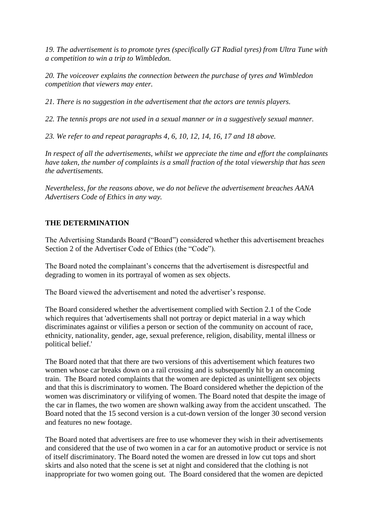*19. The advertisement is to promote tyres (specifically GT Radial tyres) from Ultra Tune with a competition to win a trip to Wimbledon.*

*20. The voiceover explains the connection between the purchase of tyres and Wimbledon competition that viewers may enter.*

*21. There is no suggestion in the advertisement that the actors are tennis players.*

*22. The tennis props are not used in a sexual manner or in a suggestively sexual manner.*

*23. We refer to and repeat paragraphs 4, 6, 10, 12, 14, 16, 17 and 18 above.*

*In respect of all the advertisements, whilst we appreciate the time and effort the complainants have taken, the number of complaints is a small fraction of the total viewership that has seen the advertisements.*

*Nevertheless, for the reasons above, we do not believe the advertisement breaches AANA Advertisers Code of Ethics in any way.*

## **THE DETERMINATION**

The Advertising Standards Board ("Board") considered whether this advertisement breaches Section 2 of the Advertiser Code of Ethics (the "Code").

The Board noted the complainant's concerns that the advertisement is disrespectful and degrading to women in its portrayal of women as sex objects.

The Board viewed the advertisement and noted the advertiser's response.

The Board considered whether the advertisement complied with Section 2.1 of the Code which requires that 'advertisements shall not portray or depict material in a way which discriminates against or vilifies a person or section of the community on account of race, ethnicity, nationality, gender, age, sexual preference, religion, disability, mental illness or political belief.'

The Board noted that that there are two versions of this advertisement which features two women whose car breaks down on a rail crossing and is subsequently hit by an oncoming train. The Board noted complaints that the women are depicted as unintelligent sex objects and that this is discriminatory to women. The Board considered whether the depiction of the women was discriminatory or vilifying of women. The Board noted that despite the image of the car in flames, the two women are shown walking away from the accident unscathed. The Board noted that the 15 second version is a cut-down version of the longer 30 second version and features no new footage.

The Board noted that advertisers are free to use whomever they wish in their advertisements and considered that the use of two women in a car for an automotive product or service is not of itself discriminatory. The Board noted the women are dressed in low cut tops and short skirts and also noted that the scene is set at night and considered that the clothing is not inappropriate for two women going out. The Board considered that the women are depicted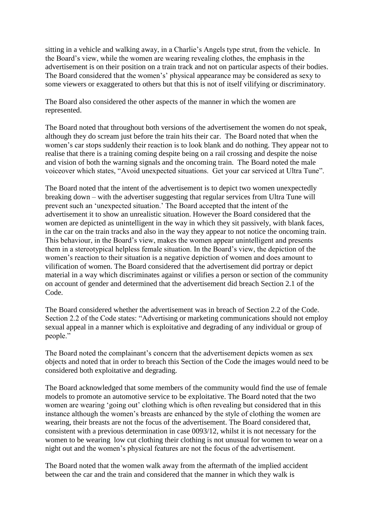sitting in a vehicle and walking away, in a Charlie's Angels type strut, from the vehicle. In the Board's view, while the women are wearing revealing clothes, the emphasis in the advertisement is on their position on a train track and not on particular aspects of their bodies. The Board considered that the women's' physical appearance may be considered as sexy to some viewers or exaggerated to others but that this is not of itself vilifying or discriminatory.

The Board also considered the other aspects of the manner in which the women are represented.

The Board noted that throughout both versions of the advertisement the women do not speak, although they do scream just before the train hits their car. The Board noted that when the women's car stops suddenly their reaction is to look blank and do nothing. They appear not to realise that there is a training coming despite being on a rail crossing and despite the noise and vision of both the warning signals and the oncoming train. The Board noted the male voiceover which states, "Avoid unexpected situations. Get your car serviced at Ultra Tune".

The Board noted that the intent of the advertisement is to depict two women unexpectedly breaking down – with the advertiser suggesting that regular services from Ultra Tune will prevent such an 'unexpected situation.' The Board accepted that the intent of the advertisement it to show an unrealistic situation. However the Board considered that the women are depicted as unintelligent in the way in which they sit passively, with blank faces, in the car on the train tracks and also in the way they appear to not notice the oncoming train. This behaviour, in the Board's view, makes the women appear unintelligent and presents them in a stereotypical helpless female situation. In the Board's view, the depiction of the women's reaction to their situation is a negative depiction of women and does amount to vilification of women. The Board considered that the advertisement did portray or depict material in a way which discriminates against or vilifies a person or section of the community on account of gender and determined that the advertisement did breach Section 2.1 of the Code.

The Board considered whether the advertisement was in breach of Section 2.2 of the Code. Section 2.2 of the Code states: "Advertising or marketing communications should not employ sexual appeal in a manner which is exploitative and degrading of any individual or group of people."

The Board noted the complainant's concern that the advertisement depicts women as sex objects and noted that in order to breach this Section of the Code the images would need to be considered both exploitative and degrading.

The Board acknowledged that some members of the community would find the use of female models to promote an automotive service to be exploitative. The Board noted that the two women are wearing 'going out' clothing which is often revealing but considered that in this instance although the women's breasts are enhanced by the style of clothing the women are wearing, their breasts are not the focus of the advertisement. The Board considered that, consistent with a previous determination in case 0093/12, whilst it is not necessary for the women to be wearing low cut clothing their clothing is not unusual for women to wear on a night out and the women's physical features are not the focus of the advertisement.

The Board noted that the women walk away from the aftermath of the implied accident between the car and the train and considered that the manner in which they walk is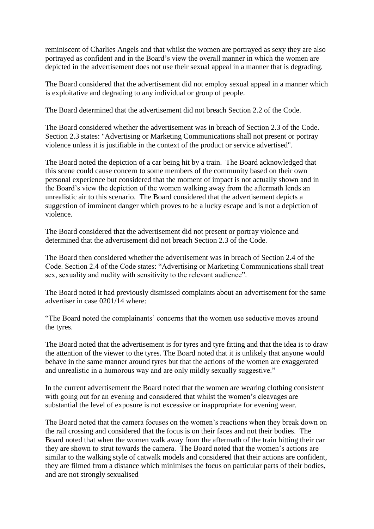reminiscent of Charlies Angels and that whilst the women are portrayed as sexy they are also portrayed as confident and in the Board's view the overall manner in which the women are depicted in the advertisement does not use their sexual appeal in a manner that is degrading.

The Board considered that the advertisement did not employ sexual appeal in a manner which is exploitative and degrading to any individual or group of people.

The Board determined that the advertisement did not breach Section 2.2 of the Code.

The Board considered whether the advertisement was in breach of Section 2.3 of the Code. Section 2.3 states: "Advertising or Marketing Communications shall not present or portray violence unless it is justifiable in the context of the product or service advertised".

The Board noted the depiction of a car being hit by a train. The Board acknowledged that this scene could cause concern to some members of the community based on their own personal experience but considered that the moment of impact is not actually shown and in the Board's view the depiction of the women walking away from the aftermath lends an unrealistic air to this scenario. The Board considered that the advertisement depicts a suggestion of imminent danger which proves to be a lucky escape and is not a depiction of violence.

The Board considered that the advertisement did not present or portray violence and determined that the advertisement did not breach Section 2.3 of the Code.

The Board then considered whether the advertisement was in breach of Section 2.4 of the Code. Section 2.4 of the Code states: "Advertising or Marketing Communications shall treat sex, sexuality and nudity with sensitivity to the relevant audience".

The Board noted it had previously dismissed complaints about an advertisement for the same advertiser in case 0201/14 where:

"The Board noted the complainants' concerns that the women use seductive moves around the tyres.

The Board noted that the advertisement is for tyres and tyre fitting and that the idea is to draw the attention of the viewer to the tyres. The Board noted that it is unlikely that anyone would behave in the same manner around tyres but that the actions of the women are exaggerated and unrealistic in a humorous way and are only mildly sexually suggestive."

In the current advertisement the Board noted that the women are wearing clothing consistent with going out for an evening and considered that whilst the women's cleavages are substantial the level of exposure is not excessive or inappropriate for evening wear.

The Board noted that the camera focuses on the women's reactions when they break down on the rail crossing and considered that the focus is on their faces and not their bodies. The Board noted that when the women walk away from the aftermath of the train hitting their car they are shown to strut towards the camera. The Board noted that the women's actions are similar to the walking style of catwalk models and considered that their actions are confident, they are filmed from a distance which minimises the focus on particular parts of their bodies, and are not strongly sexualised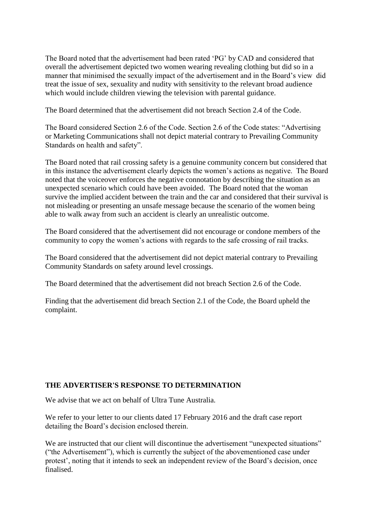The Board noted that the advertisement had been rated 'PG' by CAD and considered that overall the advertisement depicted two women wearing revealing clothing but did so in a manner that minimised the sexually impact of the advertisement and in the Board's view did treat the issue of sex, sexuality and nudity with sensitivity to the relevant broad audience which would include children viewing the television with parental guidance.

The Board determined that the advertisement did not breach Section 2.4 of the Code.

The Board considered Section 2.6 of the Code. Section 2.6 of the Code states: "Advertising or Marketing Communications shall not depict material contrary to Prevailing Community Standards on health and safety".

The Board noted that rail crossing safety is a genuine community concern but considered that in this instance the advertisement clearly depicts the women's actions as negative. The Board noted that the voiceover enforces the negative connotation by describing the situation as an unexpected scenario which could have been avoided. The Board noted that the woman survive the implied accident between the train and the car and considered that their survival is not misleading or presenting an unsafe message because the scenario of the women being able to walk away from such an accident is clearly an unrealistic outcome.

The Board considered that the advertisement did not encourage or condone members of the community to copy the women's actions with regards to the safe crossing of rail tracks.

The Board considered that the advertisement did not depict material contrary to Prevailing Community Standards on safety around level crossings.

The Board determined that the advertisement did not breach Section 2.6 of the Code.

Finding that the advertisement did breach Section 2.1 of the Code, the Board upheld the complaint.

## **THE ADVERTISER'S RESPONSE TO DETERMINATION**

We advise that we act on behalf of Ultra Tune Australia.

We refer to your letter to our clients dated 17 February 2016 and the draft case report detailing the Board's decision enclosed therein.

We are instructed that our client will discontinue the advertisement "unexpected situations" ("the Advertisement"), which is currently the subject of the abovementioned case under protest', noting that it intends to seek an independent review of the Board's decision, once finalised.